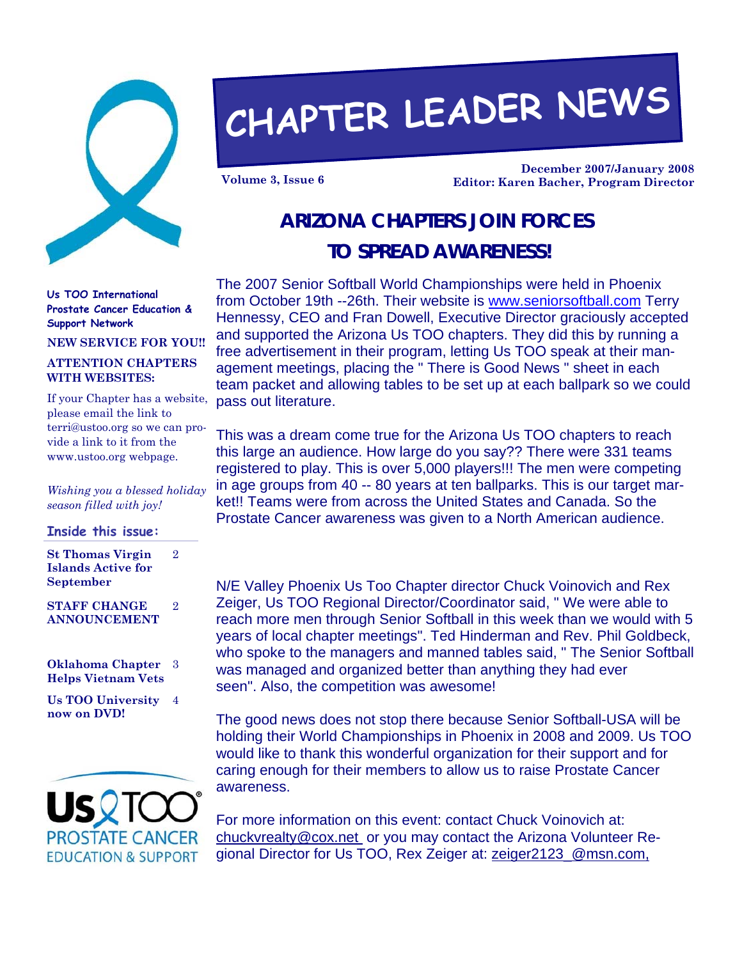

# **CHAPTER LEADER NEWS**

**December 2007/January 2008 Volume 3, Issue 6 Editor: Karen Bacher, Program Director** 

## **ARIZONA CHAPTERS JOIN FORCES TO SPREAD AWARENESS!**

**Us TOO International Prostate Cancer Education & Support Network** 

**NEW SERVICE FOR YOU!!** 

#### **ATTENTION CHAPTERS WITH WEBSITES:**

If your Chapter has a website, please email the link to terri@ustoo.org so we can provide a link to it from the www.ustoo.org webpage.

*Wishing you a blessed holiday season filled with joy!* 

#### **Inside this issue:**

**St Thomas Virgin Islands Active for September**  2

**STAFF CHANGE ANNOUNCEMENT**  2

**Oklahoma Chapter**  3 **Helps Vietnam Vets** 

**Us TOO University**  4 **now on DVD!** 



The 2007 Senior Softball World Championships were held in Phoenix from October 19th --26th. Their website is www.seniorsoftball.com Terry Hennessy, CEO and Fran Dowell, Executive Director graciously accepted and supported the Arizona Us TOO chapters. They did this by running a free advertisement in their program, letting Us TOO speak at their management meetings, placing the " There is Good News " sheet in each team packet and allowing tables to be set up at each ballpark so we could pass out literature.

This was a dream come true for the Arizona Us TOO chapters to reach this large an audience. How large do you say?? There were 331 teams registered to play. This is over 5,000 players!!! The men were competing in age groups from 40 -- 80 years at ten ballparks. This is our target market!! Teams were from across the United States and Canada. So the Prostate Cancer awareness was given to a North American audience.

N/E Valley Phoenix Us Too Chapter director Chuck Voinovich and Rex Zeiger, Us TOO Regional Director/Coordinator said, " We were able to reach more men through Senior Softball in this week than we would with 5 years of local chapter meetings". Ted Hinderman and Rev. Phil Goldbeck, who spoke to the managers and manned tables said, " The Senior Softball was managed and organized better than anything they had ever seen". Also, the competition was awesome!

The good news does not stop there because Senior Softball-USA will be holding their World Championships in Phoenix in 2008 and 2009. Us TOO would like to thank this wonderful organization for their support and for caring enough for their members to allow us to raise Prostate Cancer awareness.

For more information on this event: contact Chuck Voinovich at: chuckvrealty@cox.net or you may contact the Arizona Volunteer Regional Director for Us TOO, Rex Zeiger at: zeiger2123\_@msn.com,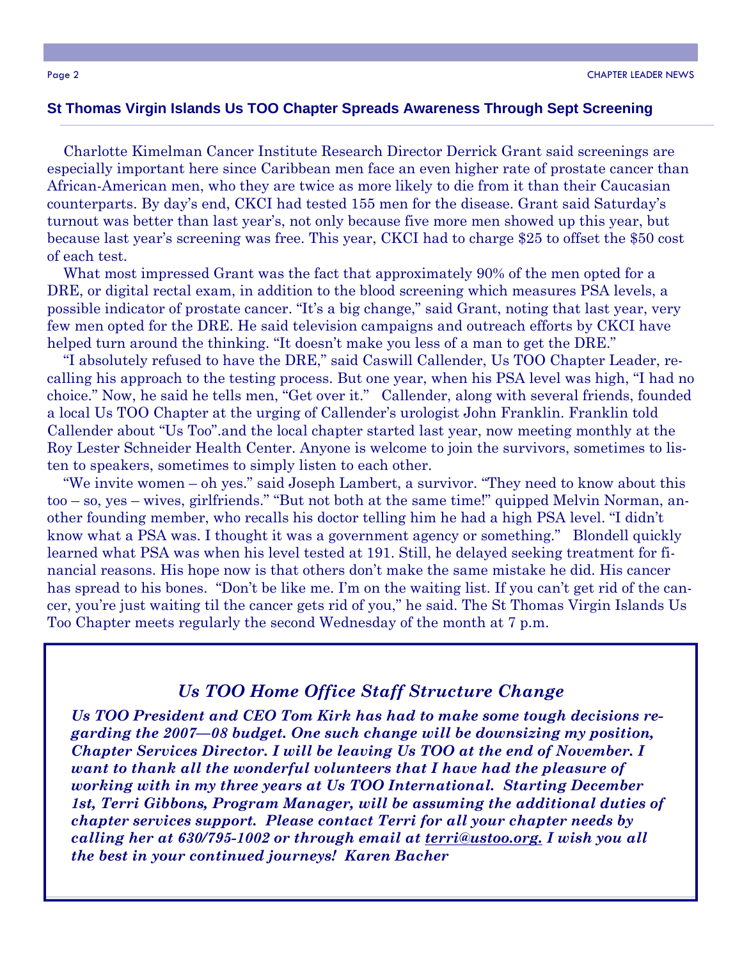#### **St Thomas Virgin Islands Us TOO Chapter Spreads Awareness Through Sept Screening**

 Charlotte Kimelman Cancer Institute Research Director Derrick Grant said screenings are especially important here since Caribbean men face an even higher rate of prostate cancer than African-American men, who they are twice as more likely to die from it than their Caucasian counterparts. By day's end, CKCI had tested 155 men for the disease. Grant said Saturday's turnout was better than last year's, not only because five more men showed up this year, but because last year's screening was free. This year, CKCI had to charge \$25 to offset the \$50 cost of each test.

 What most impressed Grant was the fact that approximately 90% of the men opted for a DRE, or digital rectal exam, in addition to the blood screening which measures PSA levels, a possible indicator of prostate cancer. "It's a big change," said Grant, noting that last year, very few men opted for the DRE. He said television campaigns and outreach efforts by CKCI have helped turn around the thinking. "It doesn't make you less of a man to get the DRE."

 "I absolutely refused to have the DRE," said Caswill Callender, Us TOO Chapter Leader, recalling his approach to the testing process. But one year, when his PSA level was high, "I had no choice." Now, he said he tells men, "Get over it." Callender, along with several friends, founded a local Us TOO Chapter at the urging of Callender's urologist John Franklin. Franklin told Callender about "Us Too".and the local chapter started last year, now meeting monthly at the Roy Lester Schneider Health Center. Anyone is welcome to join the survivors, sometimes to listen to speakers, sometimes to simply listen to each other.

 "We invite women – oh yes." said Joseph Lambert, a survivor. "They need to know about this too – so, yes – wives, girlfriends." "But not both at the same time!" quipped Melvin Norman, another founding member, who recalls his doctor telling him he had a high PSA level. "I didn't know what a PSA was. I thought it was a government agency or something." Blondell quickly learned what PSA was when his level tested at 191. Still, he delayed seeking treatment for financial reasons. His hope now is that others don't make the same mistake he did. His cancer has spread to his bones. "Don't be like me. I'm on the waiting list. If you can't get rid of the cancer, you're just waiting til the cancer gets rid of you," he said. The St Thomas Virgin Islands Us Too Chapter meets regularly the second Wednesday of the month at 7 p.m.

#### *Us TOO Home Office Staff Structure Change*

*Us TOO President and CEO Tom Kirk has had to make some tough decisions regarding the 2007—08 budget. One such change will be downsizing my position, Chapter Services Director. I will be leaving Us TOO at the end of November. I want to thank all the wonderful volunteers that I have had the pleasure of working with in my three years at Us TOO International. Starting December 1st, Terri Gibbons, Program Manager, will be assuming the additional duties of chapter services support. Please contact Terri for all your chapter needs by calling her at 630/795-1002 or through email at terri@ustoo.org. I wish you all the best in your continued journeys! Karen Bacher*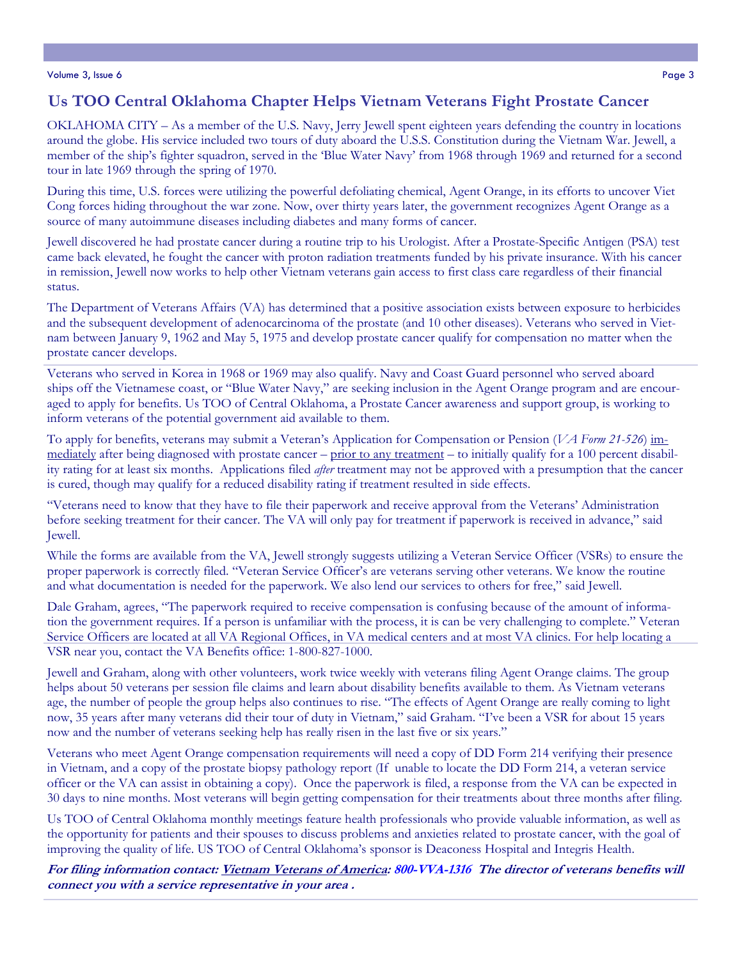#### Volume 3, Issue 6 Page 3

#### **Us TOO Central Oklahoma Chapter Helps Vietnam Veterans Fight Prostate Cancer**

OKLAHOMA CITY – As a member of the U.S. Navy, Jerry Jewell spent eighteen years defending the country in locations around the globe. His service included two tours of duty aboard the U.S.S. Constitution during the Vietnam War. Jewell, a member of the ship's fighter squadron, served in the 'Blue Water Navy' from 1968 through 1969 and returned for a second tour in late 1969 through the spring of 1970.

During this time, U.S. forces were utilizing the powerful defoliating chemical, Agent Orange, in its efforts to uncover Viet Cong forces hiding throughout the war zone. Now, over thirty years later, the government recognizes Agent Orange as a source of many autoimmune diseases including diabetes and many forms of cancer.

Jewell discovered he had prostate cancer during a routine trip to his Urologist. After a Prostate-Specific Antigen (PSA) test came back elevated, he fought the cancer with proton radiation treatments funded by his private insurance. With his cancer in remission, Jewell now works to help other Vietnam veterans gain access to first class care regardless of their financial status.

The Department of Veterans Affairs (VA) has determined that a positive association exists between exposure to herbicides and the subsequent development of adenocarcinoma of the prostate (and 10 other diseases). Veterans who served in Vietnam between January 9, 1962 and May 5, 1975 and develop prostate cancer qualify for compensation no matter when the prostate cancer develops.

Veterans who served in Korea in 1968 or 1969 may also qualify. Navy and Coast Guard personnel who served aboard ships off the Vietnamese coast, or "Blue Water Navy," are seeking inclusion in the Agent Orange program and are encouraged to apply for benefits. Us TOO of Central Oklahoma, a Prostate Cancer awareness and support group, is working to inform veterans of the potential government aid available to them.

To apply for benefits, veterans may submit a Veteran's Application for Compensation or Pension (*VA Form 21-526*) immediately after being diagnosed with prostate cancer – prior to any treatment – to initially qualify for a 100 percent disability rating for at least six months. Applications filed *after* treatment may not be approved with a presumption that the cancer is cured, though may qualify for a reduced disability rating if treatment resulted in side effects.

"Veterans need to know that they have to file their paperwork and receive approval from the Veterans' Administration before seeking treatment for their cancer. The VA will only pay for treatment if paperwork is received in advance," said Jewell.

While the forms are available from the VA, Jewell strongly suggests utilizing a Veteran Service Officer (VSRs) to ensure the proper paperwork is correctly filed. "Veteran Service Officer's are veterans serving other veterans. We know the routine and what documentation is needed for the paperwork. We also lend our services to others for free," said Jewell.

Dale Graham, agrees, "The paperwork required to receive compensation is confusing because of the amount of information the government requires. If a person is unfamiliar with the process, it is can be very challenging to complete." Veteran Service Officers are located at all VA Regional Offices, in VA medical centers and at most VA clinics. For help locating a VSR near you, contact the VA Benefits office: 1-800-827-1000.

Jewell and Graham, along with other volunteers, work twice weekly with veterans filing Agent Orange claims. The group helps about 50 veterans per session file claims and learn about disability benefits available to them. As Vietnam veterans age, the number of people the group helps also continues to rise. "The effects of Agent Orange are really coming to light now, 35 years after many veterans did their tour of duty in Vietnam," said Graham. "I've been a VSR for about 15 years now and the number of veterans seeking help has really risen in the last five or six years."

Veterans who meet Agent Orange compensation requirements will need a copy of DD Form 214 verifying their presence in Vietnam, and a copy of the prostate biopsy pathology report (If unable to locate the DD Form 214, a veteran service officer or the VA can assist in obtaining a copy). Once the paperwork is filed, a response from the VA can be expected in 30 days to nine months. Most veterans will begin getting compensation for their treatments about three months after filing.

Us TOO of Central Oklahoma monthly meetings feature health professionals who provide valuable information, as well as the opportunity for patients and their spouses to discuss problems and anxieties related to prostate cancer, with the goal of improving the quality of life. US TOO of Central Oklahoma's sponsor is Deaconess Hospital and Integris Health.

**For filing information contact: Vietnam Veterans of America: 800-VVA-1316 The director of veterans benefits will connect you with a service representative in your area .**